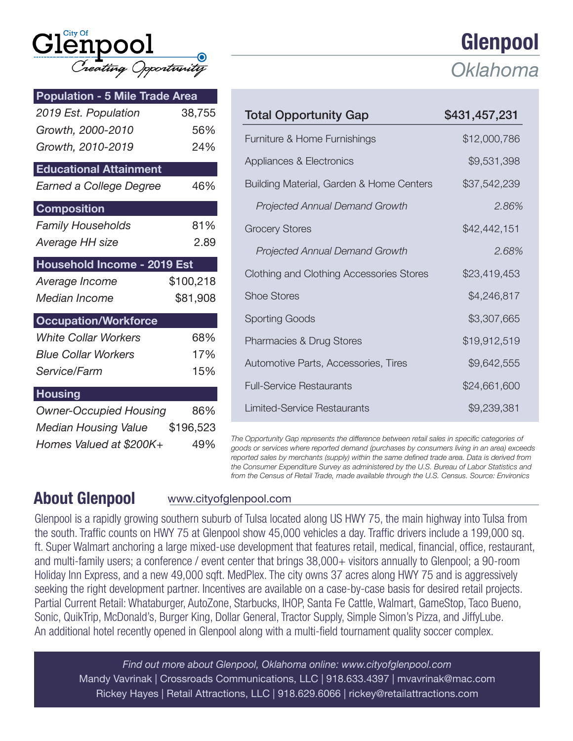| $\operatorname{Gl\!}^{\text{\tiny{city of}}}$ |                      |  |
|-----------------------------------------------|----------------------|--|
|                                               | Treating Opportunity |  |

| <b>Population - 5 Mile Trade Area</b>                                          |           |
|--------------------------------------------------------------------------------|-----------|
| 2019 Est. Population                                                           | 38,755    |
| Growth, 2000-2010                                                              | 56%       |
| Growth, 2010-2019                                                              | 24%       |
| <b>Educational Attainment</b>                                                  |           |
| Earned a College Degree                                                        | 46%       |
| <b>Composition</b>                                                             |           |
| <b>Family Households</b>                                                       | 81%       |
| Average HH size                                                                | 2.89      |
| Household Income - 2019 Est                                                    |           |
|                                                                                |           |
| Average Income                                                                 | \$100,218 |
| Median Income                                                                  | \$81,908  |
|                                                                                |           |
| <b>White Collar Workers</b>                                                    | 68%       |
| <b>Blue Collar Workers</b>                                                     | 17%       |
| Service/Farm                                                                   | 15%       |
|                                                                                |           |
| <b>Occupation/Workforce</b><br><b>Housing</b><br><b>Owner-Occupied Housing</b> | 86%       |
| Median Housing Value                                                           | \$196,523 |

|                                          | Oklahoma      |
|------------------------------------------|---------------|
| <b>Total Opportunity Gap</b>             | \$431,457,231 |
| Furniture & Home Furnishings             | \$12,000,786  |
| Appliances & Electronics                 | \$9,531,398   |
| Building Material, Garden & Home Centers | \$37,542,239  |
| <b>Projected Annual Demand Growth</b>    | 2.86%         |
| <b>Grocery Stores</b>                    | \$42,442,151  |
| <b>Projected Annual Demand Growth</b>    | 2.68%         |
| Clothing and Clothing Accessories Stores | \$23,419,453  |
| <b>Shoe Stores</b>                       | \$4,246,817   |
| Sporting Goods                           | \$3,307,665   |
| Pharmacies & Drug Stores                 | \$19,912,519  |
| Automotive Parts, Accessories, Tires     | \$9,642,555   |
| <b>Full-Service Restaurants</b>          | \$24,661,600  |
| Limited-Service Restaurants              | \$9,239,381   |
|                                          |               |

*The Opportunity Gap represents the difference between retail sales in specific categories of goods or services where reported demand (purchases by consumers living in an area) exceeds reported sales by merchants (supply) within the same defined trade area. Data is derived from the Consumer Expenditure Survey as administered by the U.S. Bureau of Labor Statistics and from the Census of Retail Trade, made available through the U.S. Census. Source: Environics*

## About Glenpool www.cityofglenpool.com

Glenpool is a rapidly growing southern suburb of Tulsa located along US HWY 75, the main highway into Tulsa from the south. Traffic counts on HWY 75 at Glenpool show 45,000 vehicles a day. Traffic drivers include a 199,000 sq. ft. Super Walmart anchoring a large mixed-use development that features retail, medical, financial, office, restaurant, and multi-family users; a conference / event center that brings 38,000+ visitors annually to Glenpool; a 90-room Holiday Inn Express, and a new 49,000 sqft. MedPlex. The city owns 37 acres along HWY 75 and is aggressively seeking the right development partner. Incentives are available on a case-by-case basis for desired retail projects. Partial Current Retail: Whataburger, AutoZone, Starbucks, IHOP, Santa Fe Cattle, Walmart, GameStop, Taco Bueno, Sonic, QuikTrip, McDonald's, Burger King, Dollar General, Tractor Supply, Simple Simon's Pizza, and JiffyLube. An additional hotel recently opened in Glenpool along with a multi-field tournament quality soccer complex.

*Find out more about Glenpool, Oklahoma online: www.cityofglenpool.com* Mandy Vavrinak | Crossroads Communications, LLC | 918.633.4397 | mvavrinak@mac.com Rickey Hayes | Retail Attractions, LLC | 918.629.6066 | rickey@retailattractions.com

## Glenpool